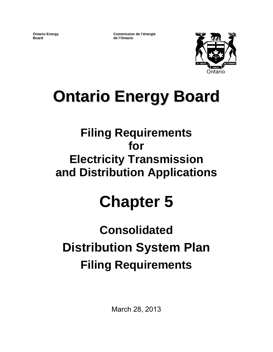**Ontario Energy Board**

**Commission de l'énergie de l'Ontario**



# **Ontario Energy Board**

# **Filing Requirements for Electricity Transmission and Distribution Applications**

# **Chapter 5**

# **Consolidated Distribution System Plan Filing Requirements**

March 28, 2013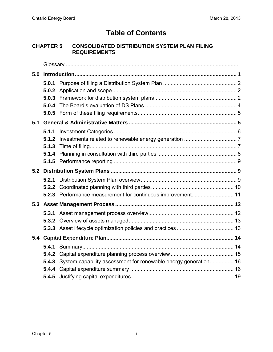# **Table of Contents**

#### **CHAPTER 5 CONSOLIDATED DISTRIBUTION SYSTEM PLAN FILING REQUIREMENTS**

| 5.0 |       |                                                                       |  |  |  |  |  |  |  |  |  |  |  |
|-----|-------|-----------------------------------------------------------------------|--|--|--|--|--|--|--|--|--|--|--|
|     |       |                                                                       |  |  |  |  |  |  |  |  |  |  |  |
|     |       |                                                                       |  |  |  |  |  |  |  |  |  |  |  |
|     |       |                                                                       |  |  |  |  |  |  |  |  |  |  |  |
|     | 5.0.4 |                                                                       |  |  |  |  |  |  |  |  |  |  |  |
|     |       |                                                                       |  |  |  |  |  |  |  |  |  |  |  |
| 5.1 |       |                                                                       |  |  |  |  |  |  |  |  |  |  |  |
|     |       |                                                                       |  |  |  |  |  |  |  |  |  |  |  |
|     |       |                                                                       |  |  |  |  |  |  |  |  |  |  |  |
|     | 5.1.3 |                                                                       |  |  |  |  |  |  |  |  |  |  |  |
|     |       |                                                                       |  |  |  |  |  |  |  |  |  |  |  |
|     |       |                                                                       |  |  |  |  |  |  |  |  |  |  |  |
|     |       |                                                                       |  |  |  |  |  |  |  |  |  |  |  |
|     |       |                                                                       |  |  |  |  |  |  |  |  |  |  |  |
|     |       |                                                                       |  |  |  |  |  |  |  |  |  |  |  |
|     |       |                                                                       |  |  |  |  |  |  |  |  |  |  |  |
|     |       |                                                                       |  |  |  |  |  |  |  |  |  |  |  |
|     |       |                                                                       |  |  |  |  |  |  |  |  |  |  |  |
|     |       |                                                                       |  |  |  |  |  |  |  |  |  |  |  |
|     |       |                                                                       |  |  |  |  |  |  |  |  |  |  |  |
| 5.4 |       |                                                                       |  |  |  |  |  |  |  |  |  |  |  |
|     |       |                                                                       |  |  |  |  |  |  |  |  |  |  |  |
|     |       |                                                                       |  |  |  |  |  |  |  |  |  |  |  |
|     |       | 5.4.3 System capability assessment for renewable energy generation 16 |  |  |  |  |  |  |  |  |  |  |  |
|     |       |                                                                       |  |  |  |  |  |  |  |  |  |  |  |
|     |       |                                                                       |  |  |  |  |  |  |  |  |  |  |  |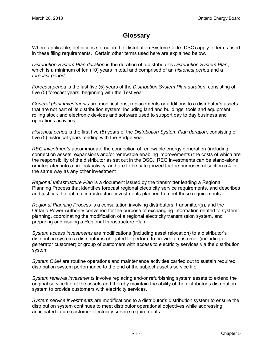#### **Glossary**

<span id="page-2-0"></span>Where applicable, definitions set out in the Distribution System Code (DSC) apply to terms used in these filing requirements. Certain other terms used here are explained below.

*Distribution System Plan duration* is the duration of a distributor's *Distribution System Plan*, which is a minimum of ten (10) years in total and comprised of an *historical period* and a *forecast period*

*Forecast period* is the last five (5) years of the *Distribution System Plan duration*, consisting of five (5) forecast years, beginning with the Test year

*General plant investments* are modifications, replacements or additions to a distributor's assets that are not part of its distribution system; including land and buildings; tools and equipment; rolling stock and electronic devices and software used to support day to day business and operations activities

*Historical period* is the first five (5) years of the *Distribution System Plan duration*, consisting of five (5) historical years, ending with the Bridge year

*REG investments* accommodate the connection of renewable energy generation (including connection assets, expansions and/or renewable enabling improvements) the costs of which are the responsibility of the distributor as set out in the DSC. REG investments can be stand-alone or integrated into a project/activity; and are to be categorized for the purposes of section 5.4 in the same way as any other investment

*Regional Infrastructure Plan* is a document issued by the transmitter leading a Regional Planning Process that identifies forecast regional electricity service requirements, and describes and justifies the optimal infrastructure investments planned to meet those requirements

*Regional Planning Process* is a consultation involving distributors, transmitter(s), and the Ontario Power Authority convened for the purpose of exchanging information related to system planning, coordinating the modification of a regional electricity transmission system, and preparing and issuing a Regional Infrastructure Plan

*System access investments* are modifications (including asset relocation) to a distributor's distribution system a distributor is obligated to perform to provide a customer (including a generator customer) or group of customers with access to electricity services via the distribution system

*System O&M* are routine operations and maintenance activities carried out to sustain required distribution system performance to the end of the subject asset's service life

*System renewal investments* involve replacing and/or refurbishing system assets to extend the original service life of the assets and thereby maintain the ability of the distributor's distribution system to provide customers with electricity services.

*System service investments* are modifications to a distributor's distribution system to ensure the distribution system continues to meet distributor operational objectives while addressing anticipated future customer electricity service requirements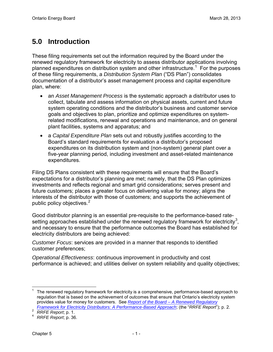# <span id="page-3-0"></span>**5.0 Introduction**

These filing requirements set out the information required by the Board under the renewed regulatory framework for electricity to assess distributor applications involving planned expenditures on distribution system and other infrastructure.<sup>[1](#page-3-1)</sup> For the purposes of these filing requirements, a *Distribution System Plan* ("DS Plan") consolidates documentation of a distributor's asset management process and capital expenditure plan, where:

- an *Asset Management Process* is the systematic approach a distributor uses to collect, tabulate and assess information on physical assets, current and future system operating conditions and the distributor's business and customer service goals and objectives to plan, prioritize and optimize expenditures on systemrelated modifications, renewal and operations and maintenance, and on general plant facilities, systems and apparatus; and
- a *Capital Expenditure Plan* sets out and robustly justifies according to the Board's standard requirements for evaluation a distributor's proposed expenditures on its distribution system and (non-system) general plant over a five-year planning period, including investment and asset-related maintenance expenditures.

Filing DS Plans consistent with these requirements will ensure that the Board's expectations for a distributor's planning are met; namely, that the DS Plan optimizes investments and reflects regional and smart grid considerations; serves present and future customers; places a greater focus on delivering value for money; aligns the interests of the distributor with those of customers; and supports the achievement of public policy objectives. [2](#page-3-2)

Good distributor planning is an essential pre-requisite to the performance-based rate-setting approaches established under the renewed regulatory framework for electricity<sup>[3](#page-3-2)</sup>, and necessary to ensure that the performance outcomes the Board has established for electricity distributors are being achieved:

*Customer Focus*: services are provided in a manner that responds to identified customer preferences;

*Operational Effectiveness*: continuous improvement in productivity and cost performance is achieved; and utilities deliver on system reliability and quality objectives;

<span id="page-3-1"></span> $\overline{\phantom{a}}$ 1 The renewed regulatory framework for electricity is a comprehensive, performance-based approach to regulation that is based on the achievement of outcomes that ensure that Ontario's electricity system provides value for money for customers. See *[Report of the Board – A Renewed Regulatory](http://www.ontarioenergyboard.ca/OEB/_Documents/Documents/Report_Renewed_Regulatory_Framework_RRFE_20121018.pdf)  [Framework for Electricity Distributors: A Performance-Based Approach](http://www.ontarioenergyboard.ca/OEB/_Documents/Documents/Report_Renewed_Regulatory_Framework_RRFE_20121018.pdf)*; (the "*RRFE Report*"); p. 2. *PRFE Report*<sup>\*</sup>); p. 2.

<span id="page-3-2"></span>

<sup>4</sup> *RRFE Report*; p. 36.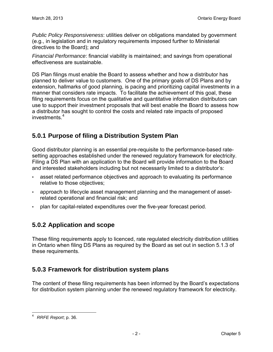*Public Policy Responsiveness*: utilities deliver on obligations mandated by government (e.g., in legislation and in regulatory requirements imposed further to Ministerial directives to the Board); and

*Financial Performance*: financial viability is maintained; and savings from operational effectiveness are sustainable.

DS Plan filings must enable the Board to assess whether and how a distributor has planned to deliver value to customers. One of the primary goals of DS Plans and by extension, hallmarks of good planning, is pacing and prioritizing capital investments in a manner that considers rate impacts. To facilitate the achievement of this goal, these filing requirements focus on the qualitative and quantitative information distributors can use to support their investment proposals that will best enable the Board to assess how a distributor has sought to control the costs and related rate impacts of proposed investments.<sup>[4](#page-4-3)</sup>

#### <span id="page-4-0"></span>**5.0.1 Purpose of filing a Distribution System Plan**

Good distributor planning is an essential pre-requisite to the performance-based ratesetting approaches established under the renewed regulatory framework for electricity. Filing a DS Plan with an application to the Board will provide information to the Board and interested stakeholders including but not necessarily limited to a distributor's:

- asset related performance objectives and approach to evaluating its performance relative to those objectives;
- approach to lifecycle asset management planning and the management of assetrelated operational and financial risk; and
- plan for capital-related expenditures over the five-year forecast period.

#### <span id="page-4-1"></span>**5.0.2 Application and scope**

These filing requirements apply to licenced, rate regulated electricity distribution utilities in Ontario when filing DS Plans as required by the Board as set out in section 5.1.3 of these requirements.

#### <span id="page-4-2"></span>**5.0.3 Framework for distribution system plans**

The content of these filing requirements has been informed by the Board's expectations for distribution system planning under the renewed regulatory framework for electricity.

<span id="page-4-3"></span> $\overline{\phantom{a}}$ 4 *RRFE Report*; p. 36.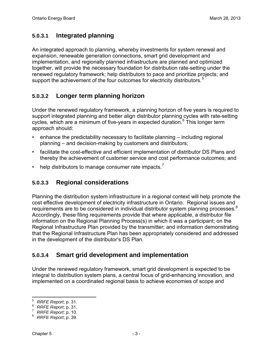#### **5.0.3.1 Integrated planning**

An integrated approach to planning, whereby investments for system renewal and expansion, renewable generation connections, smart grid development and implementation, and regionally planned infrastructure are planned and optimized together, will provide the necessary foundation for distribution rate-setting under the renewed regulatory framework; help distributors to pace and prioritize projects; and support the achievement of the four outcomes for electricity distributors.<sup>[5](#page-5-0)</sup>

#### **5.0.3.2 Longer term planning horizon**

Under the renewed regulatory framework, a planning horizon of five years is required to support integrated planning and better align distributor planning cycles with rate-setting cycles, which are a minimum of five-years in expected duration.<sup>[6](#page-5-1)</sup> This longer term approach should:

- enhance the predictability necessary to facilitate planning including regional planning – and decision-making by customers and distributors;
- facilitate the cost-effective and efficient implementation of distributor DS Plans and thereby the achievement of customer service and cost performance outcomes; and
- help distributors to manage consumer rate impacts.<sup>[7](#page-5-2)</sup>

#### **5.0.3.3 Regional considerations**

Planning the distribution system infrastructure in a regional context will help promote the cost effective development of electricity infrastructure in Ontario. Regional issues and requirements are to be considered in individual distributor system planning processes.  $8$ Accordingly, these filing requirements provide that where applicable, a distributor file information on the Regional Planning Process(s) in which it was a participant; on the Regional Infrastructure Plan provided by the transmitter; and information demonstrating that the Regional Infrastructure Plan has been appropriately considered and addressed in the development of the distributor's DS Plan.

#### **5.0.3.4 Smart grid development and implementation**

Under the renewed regulatory framework, smart grid development is expected to be integral to distribution system plans, a central focus of grid-enhancing innovation, and implemented on a coordinated regional basis to achieve economies of scope and

<sup>–&</sup>lt;br><sup>5</sup> *RRFE Report*; p. 31.<br><sup>6</sup> PRFE Report p. 31.

<span id="page-5-1"></span><span id="page-5-0"></span><sup>&</sup>lt;sup>6</sup> RRFE Report, p. 31.

<span id="page-5-2"></span> $R$ *RRFE Report*; p. 10.

<span id="page-5-3"></span>*RRFE Report*; p. 39.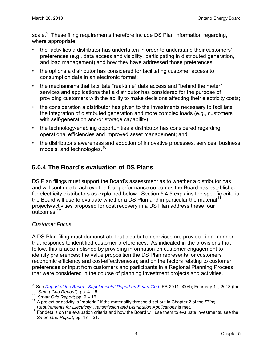scale.<sup>[9](#page-6-1)</sup> These filing requirements therefore include DS Plan information regarding, where appropriate:

- the activities a distributor has undertaken in order to understand their customers' preferences (e.g., data access and visibility, participating in distributed generation, and load management) and how they have addressed those preferences;
- the options a distributor has considered for facilitating customer access to consumption data in an electronic format;
- the mechanisms that facilitate "real-time" data access and "behind the meter" services and applications that a distributor has considered for the purpose of providing customers with the ability to make decisions affecting their electricity costs;
- the consideration a distributor has given to the investments necessary to facilitate the integration of distributed generation and more complex loads (e.g., customers with self-generation and/or storage capability);
- the technology-enabling opportunities a distributor has considered regarding operational efficiencies and improved asset management; and
- the distributor's awareness and adoption of innovative processes, services, business models, and technologies. [10](#page-6-2)

### <span id="page-6-0"></span>**5.0.4 The Board's evaluation of DS Plans**

DS Plan filings must support the Board's assessment as to whether a distributor has and will continue to achieve the four performance outcomes the Board has established for electricity distributors as explained below. Section 5.4.5 explains the specific criteria the Board will use to evaluate whether a DS Plan and in particular the material<sup>[11](#page-6-3)</sup> projects/activities proposed for cost recovery in a DS Plan address these four outcomes. [12](#page-6-4)

#### *Customer Focus*

A DS Plan filing must demonstrate that distribution services are provided in a manner that responds to identified customer preferences. As indicated in the provisions that follow, this is accomplished by providing information on customer engagement to identify preferences; the value proposition the DS Plan represents for customers (economic efficiency and cost-effectiveness); and on the factors relating to customer preferences or input from customers and participants in a Regional Planning Process that were considered in the course of planning investment projects and activities.

<span id="page-6-1"></span><sup>-&</sup>lt;br>9 See *[Report of the Board - Supplemental Report on Smart Grid](http://www.ontarioenergyboard.ca/OEB/_Documents/EB-2011-0004/Supplemental_Report_on_Smart_Grid_20130211.pdf)* (EB 2011-0004); February 11, 2013 (the "*Smart Grid Report*"); pp. 4 – 5.

<span id="page-6-2"></span><sup>10</sup> *Smart Grid Report*; pp. 9 – 16.

<span id="page-6-3"></span><sup>&</sup>lt;sup>11</sup> A project or activity is "material" if the materiality threshold set out in Chapter 2 of the *Filing*<br>Requirements for Electricity Transmission and Distribution Applications is met.

<span id="page-6-4"></span>*Requirements for Electricity Transmission and Distribution Applications* is met. 12 For details on the evaluation criteria and how the Board will use them to evaluate investments, see the *Smart Grid Report*; pp. 17 – 21.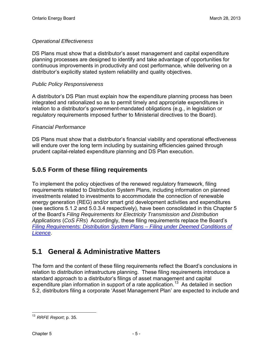#### *Operational Effectiveness*

DS Plans must show that a distributor's asset management and capital expenditure planning processes are designed to identify and take advantage of opportunities for continuous improvements in productivity and cost performance, while delivering on a distributor's explicitly stated system reliability and quality objectives.

#### *Public Policy Responsiveness*

A distributor's DS Plan must explain how the expenditure planning process has been integrated and rationalized so as to permit timely and appropriate expenditures in relation to a distributor's government-mandated obligations (e.g., in legislation or regulatory requirements imposed further to Ministerial directives to the Board).

#### *Financial Performance*

DS Plans must show that a distributor's financial viability and operational effectiveness will endure over the long term including by sustaining efficiencies gained through prudent capital-related expenditure planning and DS Plan execution.

#### <span id="page-7-0"></span>**5.0.5 Form of these filing requirements**

To implement the policy objectives of the renewed regulatory framework, filing requirements related to Distribution System Plans, including information on planned investments related to investments to accommodate the connection of renewable energy generation (REG) and/or smart grid development activities and expenditures (see sections 5.1.2 and 5.0.3.4 respectively), have been consolidated in this Chapter 5 of the Board's *Filing Requirements for Electricity Transmission and Distribution Applications* (*CoS FRs*) Accordingly, these filing requirements replace the Board's *[Filing Requirements: Distribution System Plans – Filing under Deemed Conditions of](http://www.ontarioenergyboard.ca/OEB/_Documents/Regulatory/Filing_Req_DistributionSystemPlans.pdf)  [Licence](http://www.ontarioenergyboard.ca/OEB/_Documents/Regulatory/Filing_Req_DistributionSystemPlans.pdf)*.

### <span id="page-7-1"></span>**5.1 General & Administrative Matters**

The form and the content of these filing requirements reflect the Board's conclusions in relation to distribution infrastructure planning. These filing requirements introduce a standard approach to a distributor's filings of asset management and capital expenditure plan information in support of a rate application.<sup>[13](#page-7-2)</sup> As detailed in section 5.2, distributors filing a corporate 'Asset Management Plan' are expected to include and

<span id="page-7-2"></span> $\overline{\phantom{a}}$ 13 *RRFE Report*; p. 35.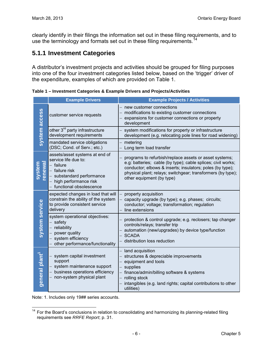clearly identify in their filings the information set out in these filing requirements, and to use the terminology and formats set out in these filing requirements.<sup>[14](#page-8-1)</sup>

#### <span id="page-8-0"></span>**5.1.1 Investment Categories**

A distributor's investment projects and activities should be grouped for filing purposes into one of the four investment categories listed below, based on the 'trigger' driver of the expenditure, examples of which are provided on Table 1.

**Example Drivers Example Projects / Activities** new customer connections system access **system access** − modifications to existing customer connections customer service requests expansions for customer connections or property development other 3<sup>rd</sup> party infrastructure system modifications for property or infrastructure development requirements development (e.g. relocating pole lines for road widening) mandated service obligations metering (DSC; Cond. of Serv.; etc.) Long term load transfer assets/asset systems at end of programs to refurbish/replace assets or asset systems; service life due to: **system renewal** e.g: batteries; cable (by type); cable splices; civil works; − failure conductor; elbows & inserts; insulators; poles (by type); − failure risk physical plant; relays; switchgear; transformers (by type); substandard performance other equipment (by type) high performance risk − functional obsolescence expected changes in load that will − property acquisition constrain the ability of the system − capacity upgrade (by type); e.g. phases; circuits; system service **system service** to provide consistent service conductor; voltage; transformation; regulation delivery line extensions system operational objectives: − protection & control upgrade; e.g. reclosers; tap changer − safety controls/relays; transfer trip − reliability automation (new/upgrades) by device type/function power quality − SCADA system efficiency − distribution loss reduction − other performance/functionality land acquisition general plant<sup>1</sup> general plant<sup>1</sup> system capital investment structures & depreciable improvements support − equipment and tools system maintenance support supplies business operations efficiency finance/admin/billing software & systems − non-system physical plant − rolling stock intangibles (e.g. land rights; capital contributions to other utilities)

**Table 1 – Investment Categories & Example Drivers and Projects/Activities** 

Note: 1. Includes only 19## series accounts.

<span id="page-8-1"></span> $\overline{\phantom{a}}$ <sup>14</sup> For the Board's conclusions in relation to consolidating and harmonizing its planning-related filing requirements see *RRFE Report*; p. 31.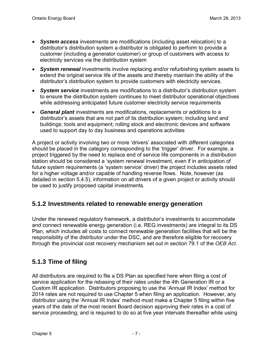- *System access* investments are modifications (including asset relocation) to a distributor's distribution system a distributor is obligated to perform to provide a customer (including a generator customer) or group of customers with access to electricity services via the distribution system
- *System renewal* investments involve replacing and/or refurbishing system assets to extend the original service life of the assets and thereby maintain the ability of the distributor's distribution system to provide customers with electricity services.
- *System service* investments are modifications to a distributor's distribution system to ensure the distribution system continues to meet distributor operational objectives while addressing anticipated future customer electricity service requirements
- *General plant* investments are modifications, replacements or additions to a distributor's assets that are not part of its distribution system; including land and buildings; tools and equipment; rolling stock and electronic devices and software used to support day to day business and operations activities

A project or activity involving two or more 'drivers' associated with different categories should be placed in the category corresponding to the 'trigger' driver. For example, a project triggered by the need to replace end of service life components in a distribution station should be considered a 'system renewal investment, even if in anticipation of future system requirements (a 'system service' driver) the project includes assets rated for a higher voltage and/or capable of handling reverse flows. Note, however (as detailed in section 5.4.5), information on all drivers of a given project or activity should be used to justify proposed capital investments.

#### <span id="page-9-0"></span>**5.1.2 Investments related to renewable energy generation**

Under the renewed regulatory framework, a distributor's investments to accommodate and connect renewable energy generation (i.e. REG investments) are integral to its DS Plan, which includes all costs to connect renewable generation facilities that will be the responsibility of the distributor under the DSC, and are therefore eligible for recovery through the provincial cost recovery mechanism set out in section 79.1 of the *OEB Act*.

#### <span id="page-9-1"></span>**5.1.3 Time of filing**

All distributors are required to file a DS Plan as specified here when filing a cost of service application for the rebasing of their rates under the 4th Generation IR or a Custom IR application. Distributors proposing to use the 'Annual IR Index' method for 2014 rates are not required to use Chapter 5 when filing an application. However, any distributor using the 'Annual IR Index' method must make a Chapter 5 filing within five years of the date of the most recent Board decision approving their rates in a cost of service proceeding; and is required to do so at five year intervals thereafter while using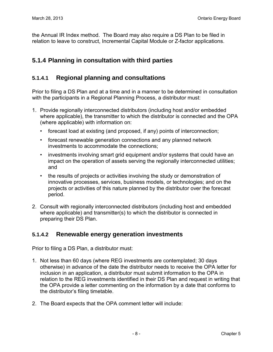the Annual IR Index method. The Board may also require a DS Plan to be filed in relation to leave to construct, Incremental Capital Module or Z-factor applications.

#### <span id="page-10-0"></span>**5.1.4 Planning in consultation with third parties**

#### **5.1.4.1 Regional planning and consultations**

Prior to filing a DS Plan and at a time and in a manner to be determined in consultation with the participants in a Regional Planning Process, a distributor must:

- 1. Provide regionally interconnected distributors (including host and/or embedded where applicable), the transmitter to which the distributor is connected and the OPA (where applicable) with information on:
	- forecast load at existing (and proposed, if any) points of interconnection;
	- forecast renewable generation connections and any planned network investments to accommodate the connections;
	- investments involving smart grid equipment and/or systems that could have an impact on the operation of assets serving the regionally interconnected utilities; and
	- the results of projects or activities involving the study or demonstration of innovative processes, services, business models, or technologies; and on the projects or activities of this nature planned by the distributor over the forecast period.
- 2. Consult with regionally interconnected distributors (including host and embedded where applicable) and transmitter(s) to which the distributor is connected in preparing their DS Plan.

#### **5.1.4.2 Renewable energy generation investments**

Prior to filing a DS Plan, a distributor must:

- 1. Not less than 60 days (where REG investments are contemplated; 30 days otherwise) in advance of the date the distributor needs to receive the OPA letter for inclusion in an application, a distributor must submit information to the OPA in relation to the REG investments identified in their DS Plan and request in writing that the OPA provide a letter commenting on the information by a date that conforms to the distributor's filing timetable.
- 2. The Board expects that the OPA comment letter will include: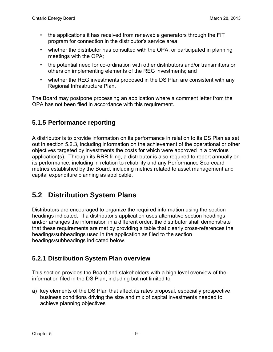- the applications it has received from renewable generators through the FIT program for connection in the distributor's service area;
- whether the distributor has consulted with the OPA, or participated in planning meetings with the OPA;
- the potential need for co-ordination with other distributors and/or transmitters or others on implementing elements of the REG investments; and
- whether the REG investments proposed in the DS Plan are consistent with any Regional Infrastructure Plan.

The Board may postpone processing an application where a comment letter from the OPA has not been filed in accordance with this requirement.

#### <span id="page-11-0"></span>**5.1.5 Performance reporting**

A distributor is to provide information on its performance in relation to its DS Plan as set out in section 5.2.3, including information on the achievement of the operational or other objectives targeted by investments the costs for which were approved in a previous application(s). Through its RRR filing, a distributor is also required to report annually on its performance, including in relation to reliability and any Performance Scorecard metrics established by the Board, including metrics related to asset management and capital expenditure planning as applicable.

### <span id="page-11-1"></span>**5.2 Distribution System Plans**

Distributors are encouraged to organize the required information using the section headings indicated. If a distributor's application uses alternative section headings and/or arranges the information in a different order, the distributor shall demonstrate that these requirements are met by providing a table that clearly cross-references the headings/subheadings used in the application as filed to the section headings/subheadings indicated below.

#### <span id="page-11-2"></span>**5.2.1 Distribution System Plan overview**

This section provides the Board and stakeholders with a high level overview of the information filed in the DS Plan, including but not limited to

a) key elements of the DS Plan that affect its rates proposal, especially prospective business conditions driving the size and mix of capital investments needed to achieve planning objectives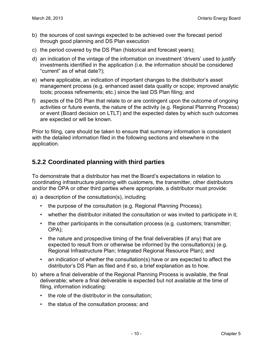- b) the sources of cost savings expected to be achieved over the forecast period through good planning and DS Plan execution
- c) the period covered by the DS Plan (historical and forecast years);
- d) an indication of the vintage of the information on investment 'drivers' used to justify investments identified in the application (i.e. the information should be considered "current" as of what date?);
- e) where applicable, an indication of important changes to the distributor's asset management process (e.g. enhanced asset data quality or scope; improved analytic tools; process refinements; etc.) since the last DS Plan filing; and
- f) aspects of the DS Plan that relate to or are contingent upon the outcome of ongoing activities or future events, the nature of the activity (e.g. Regional Planning Process) or event (Board decision on LTLT) and the expected dates by which such outcomes are expected or will be known.

Prior to filing, care should be taken to ensure that summary information is consistent with the detailed information filed in the following sections and elsewhere in the application.

#### <span id="page-12-0"></span>**5.2.2 Coordinated planning with third parties**

To demonstrate that a distributor has met the Board's expectations in relation to coordinating infrastructure planning with customers, the transmitter, other distributors and/or the OPA or other third parties where appropriate, a distributor must provide:

- a) a description of the consultation(s), including
	- the purpose of the consultation (e.g. Regional Planning Process);
	- whether the distributor initiated the consultation or was invited to participate in it;
	- the other participants in the consultation process (e.g. customers; transmitter; OPA);
	- the nature and prospective timing of the final deliverables (if any) that are expected to result from or otherwise be informed by the consultation(s) (e.g. Regional Infrastructure Plan; Integrated Regional Resource Plan); and
	- an indication of whether the consultation(s) have or are expected to affect the distributor's DS Plan as filed and if so, a brief explanation as to how.
- b) where a final deliverable of the Regional Planning Process is available, the final deliverable; where a final deliverable is expected but not available at the time of filing, information indicating:
	- the role of the distributor in the consultation;
	- the status of the consultation process; and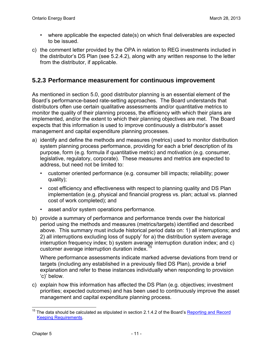- where applicable the expected date(s) on which final deliverables are expected to be issued.
- c) the comment letter provided by the OPA in relation to REG investments included in the distributor's DS Plan (see 5.2.4.2), along with any written response to the letter from the distributor, if applicable.

#### <span id="page-13-0"></span>**5.2.3 Performance measurement for continuous improvement**

As mentioned in section 5.0, good distributor planning is an essential element of the Board's performance-based rate-setting approaches. The Board understands that distributors often use certain qualitative assessments and/or quantitative metrics to monitor the quality of their planning process, the efficiency with which their plans are implemented, and/or the extent to which their planning objectives are met. The Board expects that this information is used to improve continuously a distributor's asset management and capital expenditure planning processes.

- a) identify and define the methods and measures (metrics) used to monitor distribution system planning process performance, providing for each a brief description of its purpose, form (e.g. formula if quantitative metric) and motivation (e.g. consumer, legislative, regulatory, corporate). These measures and metrics are expected to address, but need not be limited to:
	- customer oriented performance (e.g. consumer bill impacts; reliability; power quality);
	- cost efficiency and effectiveness with respect to planning quality and DS Plan implementation (e.g. physical and financial progress vs. plan; actual vs. planned cost of work completed); and
	- asset and/or system operations performance.
- b) provide a summary of performance and performance trends over the historical period using the methods and measures (metrics/targets) identified and described above. This summary must include historical period data on: 1) all interruptions; and 2) all interruptions excluding loss of supply' for a) the distribution system average interruption frequency index; b) system average interruption duration index; and c) customer average interruption duration index.<sup>1</sup>

Where performance assessments indicate marked adverse deviations from trend or targets (including any established in a previously filed DS Plan), provide a brief explanation and refer to these instances individually when responding to provision 'c)' below.

c) explain how this information has affected the DS Plan (e.g. objectives; investment priorities; expected outcomes) and has been used to continuously improve the asset management and capital expenditure planning process.

<span id="page-13-1"></span> $\overline{\phantom{a}}$ <sup>15</sup> The data should be calculated as stipulated in section 2.1.4.2 of the Board's Reporting and Record [Keeping Requirements.](http://www.ontarioenergyboard.ca/OEB/_Documents/Regulatory/RRR_Electricity.pdf)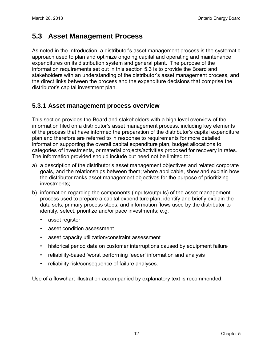# <span id="page-14-0"></span>**5.3 Asset Management Process**

As noted in the Introduction, a distributor's asset management process is the systematic approach used to plan and optimize ongoing capital and operating and maintenance expenditures on its distribution system and general plant. The purpose of the information requirements set out in this section 5.3 is to provide the Board and stakeholders with an understanding of the distributor's asset management process, and the direct links between the process and the expenditure decisions that comprise the distributor's capital investment plan.

#### <span id="page-14-1"></span>**5.3.1 Asset management process overview**

This section provides the Board and stakeholders with a high level overview of the information filed on a distributor's asset management process, including key elements of the process that have informed the preparation of the distributor's capital expenditure plan and therefore are referred to in response to requirements for more detailed information supporting the overall capital expenditure plan, budget allocations to categories of investments, or material projects/activities proposed for recovery in rates. The information provided should include but need not be limited to:

- a) a description of the distributor's asset management objectives and related corporate goals, and the relationships between them; where applicable, show and explain how the distributor ranks asset management objectives for the purpose of prioritizing investments;
- b) information regarding the components (inputs/outputs) of the asset management process used to prepare a capital expenditure plan, identify and briefly explain the data sets, primary process steps, and information flows used by the distributor to identify, select, prioritize and/or pace investments; e.g.
	- asset register
	- asset condition assessment
	- asset capacity utilization/constraint assessment
	- historical period data on customer interruptions caused by equipment failure
	- reliability-based 'worst performing feeder' information and analysis
	- reliability risk/consequence of failure analyses.

Use of a flowchart illustration accompanied by explanatory text is recommended.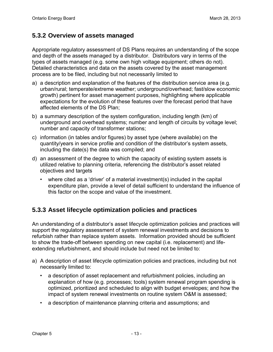#### <span id="page-15-0"></span>**5.3.2 Overview of assets managed**

Appropriate regulatory assessment of DS Plans requires an understanding of the scope and depth of the assets managed by a distributor. Distributors vary in terms of the types of assets managed (e.g. some own high voltage equipment; others do not). Detailed characteristics and data on the assets covered by the asset management process are to be filed, including but not necessarily limited to

- a) a description and explanation of the features of the distribution service area (e.g. urban/rural; temperate/extreme weather; underground/overhead; fast/slow economic growth) pertinent for asset management purposes, highlighting where applicable expectations for the evolution of these features over the forecast period that have affected elements of the DS Plan;
- b) a summary description of the system configuration, including length (km) of underground and overhead systems; number and length of circuits by voltage level; number and capacity of transformer stations;
- c) information (in tables and/or figures) by asset type (where available) on the quantity/years in service profile and condition of the distributor's system assets, including the date(s) the data was compiled; and
- d) an assessment of the degree to which the capacity of existing system assets is utilized relative to planning criteria, referencing the distributor's asset related objectives and targets
	- where cited as a 'driver' of a material investment(s) included in the capital expenditure plan, provide a level of detail sufficient to understand the influence of this factor on the scope and value of the investment.

#### <span id="page-15-1"></span>**5.3.3 Asset lifecycle optimization policies and practices**

An understanding of a distributor's asset lifecycle optimization policies and practices will support the regulatory assessment of system renewal investments and decisions to refurbish rather than replace system assets. Information provided should be sufficient to show the trade-off between spending on new capital (i.e. replacement) and lifeextending refurbishment, and should include but need not be limited to:

- a) A description of asset lifecycle optimization policies and practices, including but not necessarily limited to:
	- a description of asset replacement and refurbishment policies, including an explanation of how (e.g. processes; tools) system renewal program spending is optimized, prioritized and scheduled to align with budget envelopes; and how the impact of system renewal investments on routine system O&M is assessed;
	- a description of maintenance planning criteria and assumptions; and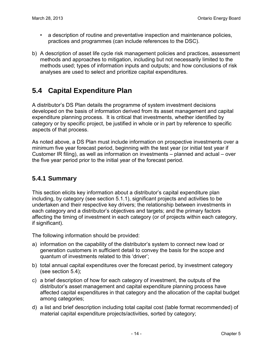- a description of routine and preventative inspection and maintenance policies, practices and programmes (can include references to the DSC).
- b) A description of asset life cycle risk management policies and practices, assessment methods and approaches to mitigation, including but not necessarily limited to the methods used; types of information inputs and outputs; and how conclusions of risk analyses are used to select and prioritize capital expenditures.

# <span id="page-16-0"></span>**5.4 Capital Expenditure Plan**

A distributor's DS Plan details the programme of system investment decisions developed on the basis of information derived from its asset management and capital expenditure planning process. It is critical that investments, whether identified by category or by specific project, be justified in whole or in part by reference to specific aspects of that process.

As noted above, a DS Plan must include information on prospective investments over a minimum five year forecast period, beginning with the test year (or initial test year if Customer IR filing), as well as information on investments – planned and actual – over the five year period prior to the initial year of the forecast period.

#### <span id="page-16-1"></span>**5.4.1 Summary**

This section elicits key information about a distributor's capital expenditure plan including, by category (see section 5.1.1), significant projects and activities to be undertaken and their respective key drivers; the relationship between investments in each category and a distributor's objectives and targets; and the primary factors affecting the timing of investment in each category (or of projects within each category, if significant).

The following information should be provided:

- a) information on the capability of the distributor's system to connect new load or generation customers in sufficient detail to convey the basis for the scope and quantum of investments related to this 'driver';
- b) total annual capital expenditures over the forecast period, by investment category (see section 5.4);
- c) a brief description of how for each category of investment, the outputs of the distributor's asset management and capital expenditure planning process have affected capital expenditures in that category and the allocation of the capital budget among categories;
- d) a list and brief description including total capital cost (table format recommended) of material capital expenditure projects/activities, sorted by category;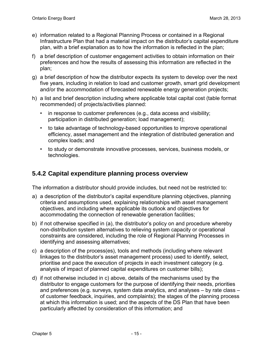- e) information related to a Regional Planning Process or contained in a Regional Infrastructure Plan that had a material impact on the distributor's capital expenditure plan, with a brief explanation as to how the information is reflected in the plan;
- f) a brief description of customer engagement activities to obtain information on their preferences and how the results of assessing this information are reflected in the plan;
- g) a brief description of how the distributor expects its system to develop over the next five years, including in relation to load and customer growth, smart grid development and/or the accommodation of forecasted renewable energy generation projects;
- h) a list and brief description including where applicable total capital cost (table format recommended) of projects/activities planned:
	- in response to customer preferences (e.g., data access and visibility; participation in distributed generation; load management);
	- to take advantage of technology-based opportunities to improve operational efficiency, asset management and the integration of distributed generation and complex loads; and
	- to study or demonstrate innovative processes, services, business models, or technologies.

#### <span id="page-17-0"></span>**5.4.2 Capital expenditure planning process overview**

The information a distributor should provide includes, but need not be restricted to:

- a) a description of the distributor's capital expenditure planning objectives, planning criteria and assumptions used, explaining relationships with asset management objectives, and including where applicable its outlook and objectives for accommodating the connection of renewable generation facilities;
- b) if not otherwise specified in (a), the distributor's policy on and procedure whereby non-distribution system alternatives to relieving system capacity or operational constraints are considered, including the role of Regional Planning Processes in identifying and assessing alternatives;
- c) a description of the process(es), tools and methods (including where relevant linkages to the distributor's asset management process) used to identify, select, prioritise and pace the execution of projects in each investment category (e.g. analysis of impact of planned capital expenditures on customer bills);
- d) if not otherwise included in c) above, details of the mechanisms used by the distributor to engage customers for the purpose of identifying their needs, priorities and preferences (e.g. surveys, system data analytics, and analyses – by rate class – of customer feedback, inquiries, and complaints); the stages of the planning process at which this information is used; and the aspects of the DS Plan that have been particularly affected by consideration of this information; and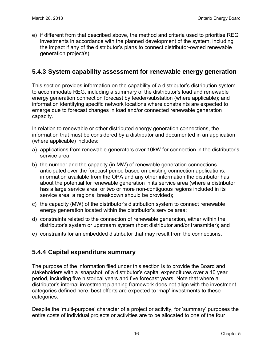e) if different from that described above, the method and criteria used to prioritise REG investments in accordance with the planned development of the system, including the impact if any of the distributor's plans to connect distributor-owned renewable generation project(s).

#### <span id="page-18-0"></span>**5.4.3 System capability assessment for renewable energy generation**

This section provides information on the capability of a distributor's distribution system to accommodate REG, including a summary of the distributor's load and renewable energy generation connection forecast by feeder/substation (where applicable); and information identifying specific network locations where constraints are expected to emerge due to forecast changes in load and/or connected renewable generation capacity.

In relation to renewable or other distributed energy generation connections, the information that must be considered by a distributor and documented in an application (where applicable) includes:

- a) applications from renewable generators over 10kW for connection in the distributor's service area;
- b) the number and the capacity (in MW) of renewable generation connections anticipated over the forecast period based on existing connection applications, information available from the OPA and any other information the distributor has about the potential for renewable generation in its service area (where a distributor has a large service area, or two or more non-contiguous regions included in its service area, a regional breakdown should be provided);
- c) the capacity (MW) of the distributor's distribution system to connect renewable energy generation located within the distributor's service area;
- d) constraints related to the connection of renewable generation, either within the distributor's system or upstream system (host distributor and/or transmitter); and
- e) constraints for an embedded distributor that may result from the connections.

#### <span id="page-18-1"></span>**5.4.4 Capital expenditure summary**

The purpose of the information filed under this section is to provide the Board and stakeholders with a 'snapshot' of a distributor's capital expenditures over a 10 year period, including five historical years and five forecast years. Note that where a distributor's internal investment planning framework does not align with the investment categories defined here, best efforts are expected to 'map' investments to these categories.

Despite the 'multi-purpose' character of a project or activity, for 'summary' purposes the entire costs of individual projects or activities are to be allocated to one of the four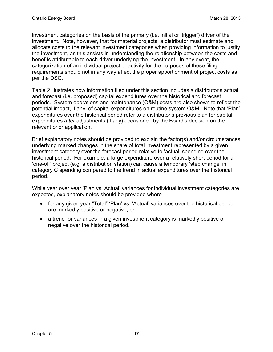investment categories on the basis of the primary (i.e. initial or 'trigger') driver of the investment. Note, however, that for material projects, a distributor must estimate and allocate costs to the relevant investment categories when providing information to justify the investment, as this assists in understanding the relationship between the costs and benefits attributable to each driver underlying the investment. In any event, the categorization of an individual project or activity for the purposes of these filing requirements should not in any way affect the proper apportionment of project costs as per the DSC.

Table 2 illustrates how information filed under this section includes a distributor's actual and forecast (i.e. proposed) capital expenditures over the historical and forecast periods. System operations and maintenance (O&M) costs are also shown to reflect the potential impact, if any, of capital expenditures on routine system O&M. Note that 'Plan' expenditures over the historical period refer to a distributor's previous plan for capital expenditures *after* adjustments (if any) occasioned by the Board's decision on the relevant prior application.

Brief explanatory notes should be provided to explain the factor(s) and/or circumstances underlying marked changes in the share of total investment represented by a given investment category over the forecast period relative to 'actual' spending over the historical period. For example, a large expenditure over a relatively short period for a 'one-off' project (e.g. a distribution station) can cause a temporary 'step change' in category C spending compared to the trend in actual expenditures over the historical period.

While year over year 'Plan vs. Actual' variances for individual investment categories are expected, explanatory notes should be provided where

- for any given year "Total" 'Plan' vs. 'Actual' variances over the historical period are markedly positive or negative; or
- a trend for variances in a given investment category is markedly positive or negative over the historical period.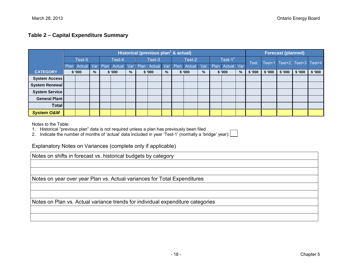#### **Table 2 – Capital Expenditure Summary**

|                       |        | Historical (previous plan <sup>1</sup> & actual) |     |        |             |      |      |             |  |        |               |               |             |            |   |        | <b>Forecast (planned)</b> |        |                      |        |  |
|-----------------------|--------|--------------------------------------------------|-----|--------|-------------|------|------|-------------|--|--------|---------------|---------------|-------------|------------|---|--------|---------------------------|--------|----------------------|--------|--|
|                       | Test-5 |                                                  |     | Test-4 |             |      |      | Test-3      |  | Test-2 |               |               | Test- $1^2$ |            |   | Test   | Test+1                    |        | Test+2 Test+3 Test+4 |        |  |
|                       |        | Plan Actual                                      | Var |        | Plan Actual | Var  | Plan | Actual Var  |  | Plan   | <b>Actual</b> | Var           | Plan        | Actual Var |   |        |                           |        |                      |        |  |
| <b>CATEGORY</b>       | \$'000 |                                                  | %   | \$'000 |             | $\%$ |      | \$'000<br>% |  | \$'000 |               | $\frac{9}{6}$ | \$'000      |            | % | \$'000 | \$'000                    | \$'000 | \$'000               | \$'000 |  |
| <b>System Access</b>  |        |                                                  |     |        |             |      |      |             |  |        |               |               |             |            |   |        |                           |        |                      |        |  |
| System Renewal        |        |                                                  |     |        |             |      |      |             |  |        |               |               |             |            |   |        |                           |        |                      |        |  |
| <b>System Service</b> |        |                                                  |     |        |             |      |      |             |  |        |               |               |             |            |   |        |                           |        |                      |        |  |
| <b>General Plant</b>  |        |                                                  |     |        |             |      |      |             |  |        |               |               |             |            |   |        |                           |        |                      |        |  |
| Total                 |        |                                                  |     |        |             |      |      |             |  |        |               |               |             |            |   |        |                           |        |                      |        |  |
| <b>System O&amp;M</b> |        |                                                  |     |        |             |      |      |             |  |        |               |               |             |            |   |        |                           |        |                      |        |  |

Notes to the Table:

- 1. Historical "previous plan" data is not required unless a plan has previously been filed
- 2. Indicate the number of months of 'actual' data included in year 'Test-1' (normally a 'bridge' year):

Explanatory Notes on Variances (complete only if applicable)

Notes on shifts in forecast vs. historical budgets by category

Notes on year over year Plan vs. Actual variances for Total Expenditures

Notes on Plan vs. Actual variance trends for individual expenditure categories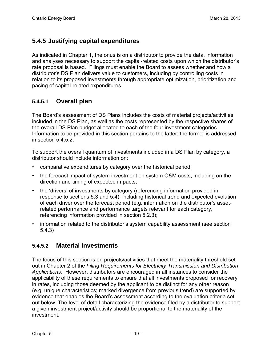#### <span id="page-21-0"></span>**5.4.5 Justifying capital expenditures**

As indicated in Chapter 1, the onus is on a distributor to provide the data, information and analyses necessary to support the capital-related costs upon which the distributor's rate proposal is based. Filings must enable the Board to assess whether and how a distributor's DS Plan delivers value to customers, including by controlling costs in relation to its proposed investments through appropriate optimization, prioritization and pacing of capital-related expenditures.

#### **5.4.5.1 Overall plan**

The Board's assessment of DS Plans includes the costs of material projects/activities included in the DS Plan, as well as the costs represented by the respective shares of the overall DS Plan budget allocated to each of the four investment categories. Information to be provided in this section pertains to the latter; the former is addressed in section 5.4.5.2.

To support the overall quantum of investments included in a DS Plan by category, a distributor should include information on:

- comparative expenditures by category over the historical period;
- the forecast impact of system investment on system O&M costs, including on the direction and timing of expected impacts;
- the 'drivers' of investments by category (referencing information provided in response to sections 5.3 and 5.4), including historical trend and expected evolution of each driver over the forecast period (e.g. information on the distributor's assetrelated performance and performance targets relevant for each category, referencing information provided in section 5.2.3);
- information related to the distributor's system capability assessment (see section 5.4.3)

#### **5.4.5.2 Material investments**

The focus of this section is on projects/activities that meet the materiality threshold set out in Chapter 2 of the *Filing Requirements for Electricity Transmission and Distribution Applications*. However, distributors are encouraged in all instances to consider the applicability of these requirements to ensure that all investments proposed for recovery in rates, including those deemed by the applicant to be distinct for any other reason (e.g. unique characteristics; marked divergence from previous trend) are supported by evidence that enables the Board's assessment according to the evaluation criteria set out below. The level of detail characterizing the evidence filed by a distributor to support a given investment project/activity should be proportional to the materiality of the investment.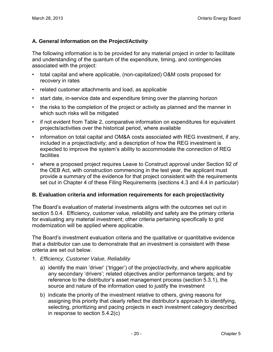#### **A. General Information on the Project/Activity**

The following information is to be provided for any material project in order to facilitate and understanding of the quantum of the expenditure, timing, and contingencies associated with the project:

- total capital and where applicable, (non-capitalized) O&M costs proposed for recovery in rates
- related customer attachments and load, as applicable
- start date, in-service date and expenditure timing over the planning horizon
- the risks to the completion of the project or activity as planned and the manner in which such risks will be mitigated
- if not evident from Table 2, comparative information on expenditures for equivalent projects/activities over the historical period, where available
- information on total capital and OM&A costs associated with REG investment, if any, included in a project/activity; and a description of how the REG investment is expected to improve the system's ability to accommodate the connection of REG facilities
- where a proposed project requires Leave to Construct approval under Section 92 of the OEB Act, with construction commencing in the test year, the applicant must provide a summary of the evidence for that project consistent with the requirements set out in Chapter 4 of these Filing Requirements (sections 4.3 and 4.4 in particular)

#### **B. Evaluation criteria and information requirements for each project/activity**

The Board's evaluation of material investments aligns with the outcomes set out in section 5.0.4. Efficiency, customer value, reliability and safety are the primary criteria for evaluating any material investment; other criteria pertaining specifically to grid modernization will be applied where applicable.

The Board's investment evaluation criteria and the qualitative or quantitative evidence that a distributor can use to demonstrate that an investment is consistent with these criteria are set out below.

- 1. *Efficiency, Customer Value, Reliability*
	- a) identify the main 'driver' ('trigger') of the project/activity, and where applicable any secondary 'drivers'; related objectives and/or performance targets; and by reference to the distributor's asset management process (section 5.3.1), the source and nature of the information used to justify the investment
	- b) indicate the priority of the investment relative to others, giving reasons for assigning this priority that clearly reflect the distributor's approach to identifying, selecting, prioritizing and pacing projects in each investment category described in response to section 5.4.2(c)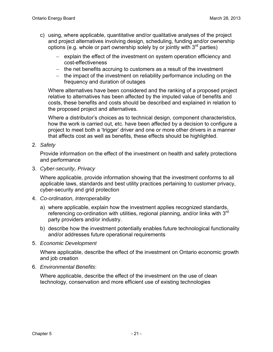- c) using, where applicable, quantitative and/or qualitative analyses of the project and project alternatives involving design, scheduling, funding and/or ownership options (e.g. whole or part ownership solely by or jointly with  $3<sup>rd</sup>$  parties)
	- − explain the effect of the investment on system operation efficiency and cost-effectiveness
	- − the net benefits accruing to customers as a result of the investment
	- − the impact of the investment on reliability performance including on the frequency and duration of outages

Where alternatives have been considered and the ranking of a proposed project relative to alternatives has been affected by the imputed value of benefits and costs, these benefits and costs should be described and explained in relation to the proposed project and alternatives.

Where a distributor's choices as to technical design, component characteristics, how the work is carried out, etc. have been affected by a decision to configure a project to meet both a 'trigger' driver and one or more other drivers in a manner that affects cost as well as benefits, these effects should be highlighted.

2. *Safety*

Provide information on the effect of the investment on health and safety protections and performance

3. *Cyber-security, Privacy*

Where applicable, provide information showing that the investment conforms to all applicable laws, standards and best utility practices pertaining to customer privacy, cyber-security and grid protection

- 4. *Co-ordination, Interoperability*
	- a) where applicable, explain how the investment applies recognized standards, referencing co-ordination with utilities, regional planning, and/or links with  $3<sup>rd</sup>$ party providers and/or industry.
	- b) describe how the investment potentially enables future technological functionality and/or addresses future operational requirements
- 5. *Economic Development*

Where applicable, describe the effect of the investment on Ontario economic growth and job creation

6. *Environmental Benefits*:

Where applicable, describe the effect of the investment on the use of clean technology, conservation and more efficient use of existing technologies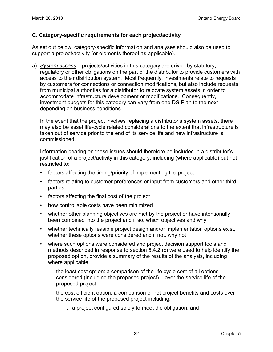#### **C. Category-specific requirements for each project/activity**

As set out below, category-specific information and analyses should also be used to support a project/activity (or elements thereof as applicable).

a) *System access* – projects/activities in this category are driven by statutory, regulatory or other obligations on the part of the distributor to provide customers with access to their distribution system. Most frequently, investments relate to requests by customers for connections or connection modifications, but also include requests from municipal authorities for a distributor to relocate system assets in order to accommodate infrastructure development or modifications. Consequently, investment budgets for this category can vary from one DS Plan to the next depending on business conditions.

In the event that the project involves replacing a distributor's system assets, there may also be asset life-cycle related considerations to the extent that infrastructure is taken out of service prior to the end of its service life and new infrastructure is commissioned.

Information bearing on these issues should therefore be included in a distributor's justification of a project/activity in this category, including (where applicable) but not restricted to:

- factors affecting the timing/priority of implementing the project
- factors relating to customer preferences or input from customers and other third parties
- factors affecting the final cost of the project
- how controllable costs have been minimized
- whether other planning objectives are met by the project or have intentionally been combined into the project and if so, which objectives and why
- whether technically feasible project design and/or implementation options exist, whether these options were considered and if not, why not
- where such options were considered and project decision support tools and methods described in response to section 5.4.2 (c) were used to help identify the proposed option, provide a summary of the results of the analysis, including where applicable:
	- − the least cost option: a comparison of the life cycle cost of all options considered (including the proposed project) – over the service life of the proposed project
	- − the cost efficient option: a comparison of net project benefits and costs over the service life of the proposed project including:
		- i. a project configured solely to meet the obligation; and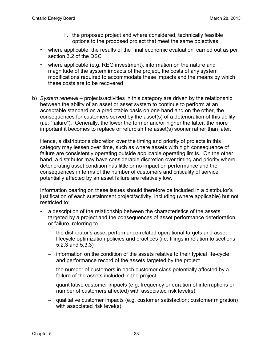- ii. the proposed project and where considered, technically feasible options to the proposed project that meet the same objectives.
- where applicable, the results of the 'final economic evaluation' carried out as per section 3.2 of the DSC
- where applicable (e.g. REG investment), information on the nature and magnitude of the system impacts of the project, the costs of any system modifications required to accommodate these impacts and the means by which these costs are to be recovered
- b) *System renewal* projects/activities in this category are driven by the relationship between the ability of an asset or asset system to continue to perform at an acceptable standard on a predictable basis on one hand and on the other, the consequences for customers served by the asset(s) of a deterioration of this ability (i.e. "failure"). Generally, the lower the former and/or higher the latter, the more important it becomes to replace or refurbish the asset(s) sooner rather than later.

Hence, a distributor's discretion over the timing and priority of projects in this category may lessen over time, such as where assets with high consequence of failure are consistently operating outside applicable operating limits. On the other hand, a distributor may have considerable discretion over timing and priority where deteriorating asset condition has little or no impact on performance and the consequences in terms of the number of customers and criticality of service potentially affected by an asset failure are relatively low.

Information bearing on these issues should therefore be included in a distributor's justification of each sustainment project/activity, including (where applicable) but not restricted to:

- a description of the relationship between the characteristics of the assets targeted by a project and the consequences of asset performance deterioration or failure, referring to
	- − the distributor's asset performance-related operational targets and asset lifecycle optimization policies and practices (i.e. filings in relation to sections 5.2.3 and 5.3.3)
	- − information on the condition of the assets relative to their typical life-cycle; and performance record of the assets targeted by the project
	- − the number of customers in each customer class potentially affected by a failure of the assets included in the project
	- − quantitative customer impacts (e.g. frequency or duration of interruptions or number of customers affected) with associated risk level(s)
	- − qualitative customer impacts (e.g. customer satisfaction; customer migration) with associated risk level(s)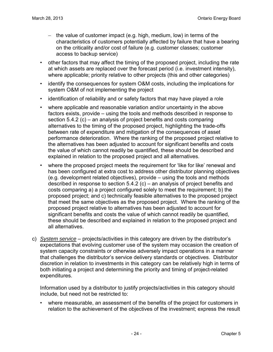- − the value of customer impact (e.g. high, medium, low) in terms of the characteristics of customers potentially affected by failure that have a bearing on the criticality and/or cost of failure (e.g. customer classes; customer access to backup service)
- other factors that may affect the timing of the proposed project, including the rate at which assets are replaced over the forecast period (i.e. investment intensity), where applicable; priority relative to other projects (this and other categories)
- identify the consequences for system O&M costs, including the implications for system O&M of not implementing the project
- identification of reliability and or safety factors that may have played a role
- where applicable and reasonable variation and/or uncertainty in the above factors exists, provide – using the tools and methods described in response to section 5.4.2 (c) – an analysis of project benefits and costs comparing alternatives to the timing of the proposed project, highlighting the trade-offs between rate of expenditure and mitigation of the consequences of asset performance deterioration. Where the ranking of the proposed project relative to the alternatives has been adjusted to account for significant benefits and costs the value of which cannot readily be quantified, these should be described and explained in relation to the proposed project and all alternatives.
- where the proposed project meets the requirement for 'like for like' renewal and has been configured at extra cost to address other distributor planning objectives (e.g. development related objectives), provide – using the tools and methods described in response to section 5.4.2 (c) – an analysis of project benefits and costs comparing a) a project configured solely to meet the requirement; b) the proposed project; and c) technically feasible alternatives to the proposed project that meet the same objectives as the proposed project. Where the ranking of the proposed project relative to alternatives has been adjusted to account for significant benefits and costs the value of which cannot readily be quantified, these should be described and explained in relation to the proposed project and all alternatives.
- c) *System service* projects/activities in this category are driven by the distributor's expectations that evolving customer use of the system may occasion the creation of system capacity constraints or otherwise adversely impact operations in a manner that challenges the distributor's service delivery standards or objectives. Distributor discretion in relation to investments in this category can be relatively high in terms of both initiating a project and determining the priority and timing of project-related expenditures.

Information used by a distributor to justify projects/activities in this category should include, but need not be restricted to:

• where measurable, an assessment of the benefits of the project for customers in relation to the achievement of the objectives of the investment; express the result